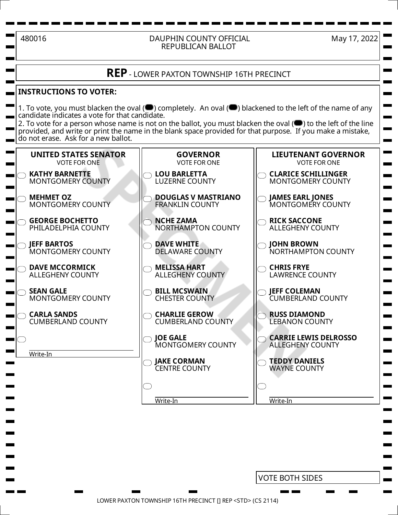## 480016 DAUPHIN COUNTY OFFICIAL REPUBLICAN BALLOT

May 17, 2022

## **REP**- LOWER PAXTON TOWNSHIP 16TH PRECINCT **INSTRUCTIONS TO VOTER:** 1. To vote, you must blacken the oval ( $\blacksquare$ ) completely. An oval ( $\blacksquare$ ) blackened to the left of the name of any candidate indicates a vote for that candidate. 2. To vote for a person whose name is not on the ballot, you must blacken the oval  $($ **)** to the left of the line provided, and write or print the name in the blank space provided for that purpose. If you make a mistake, do not erase. Ask for a new ballot. **UNITED STATES SENATOR** VOTE FOR ONE **KATHY BARNETTE** MONTGOMERY COUNTY **MEHMET OZ** MONTGOMERY COUNTY **GEORGE BOCHETTO** PHILADELPHIA COUNTY **JEFF BARTOS** MONTGOMERY COUNTY **DAVE MCCORMICK** ALLEGHENY COUNTY **SEAN GALE** MONTGOMERY COUNTY **CARLA SANDS** CUMBERLAND COUNTY Write-In **GOVERNOR** VOTE FOR ONE **LOU BARLETTA** LUZERNE COUNTY **DOUGLAS V MASTRIANO** FRANKLIN COUNTY **NCHE ZAMA** NORTHAMPTON COUNTY **DAVE WHITE** DELAWARE COUNTY **MELISSA HART** ALLEGHENY COUNTY **BILL MCSWAIN** CHESTER COUNTY **CHARLIE GEROW** CUMBERLAND COUNTY **JOE GALE** MONTGOMERY COUNTY **JAKE CORMAN** CENTRE COUNTY Write-In **LIEUTENANT GOVERNOR** VOTE FOR ONE **CLARICE SCHILLINGER** MONTGOMERY COUNTY **JAMES EARL JONES** MONTGOMERY COUNTY **RICK SACCONE** ALLEGHENY COUNTY **JOHN BROWN** NORTHAMPTON COUNTY **CHRIS FRYE** LAWRENCE COUNTY  $\neg$  IEFF COLEMAN CUMBERLAND COUNTY **RUSS DIAMOND** LEBANON COUNTY **CARRIE LEWIS DELROSSO** ALLEGHENY COUNTY **TEDDY DANIELS** WAYNE COUNTY Write-In

VOTE BOTH SIDES